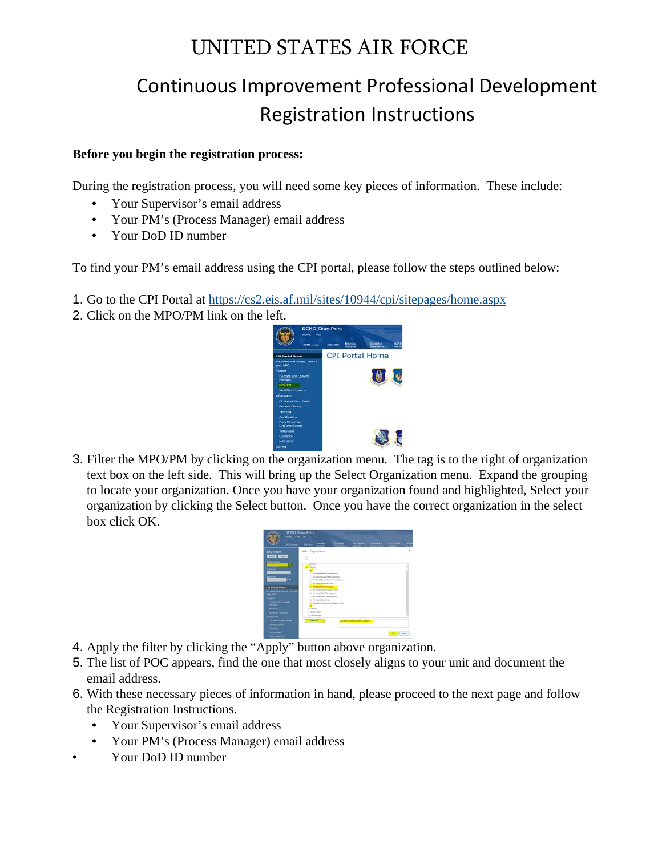# UNITED STATES AIR FORCE

# Continuous Improvement Professional Development Registration Instructions

### **Before you begin the registration process:**

During the registration process, you will need some key pieces of information. These include:

- Your Supervisor's email address
- Your PM's (Process Manager) email address
- Your DoD ID number

To find your PM's email address using the CPI portal, please follow the steps outlined below:

- 1. Go to the CPI Portal a[t](https://cs2.eis.af.mil/sites/10944/cpi/sitepages/home.aspx) <https://cs2.eis.af.mil/sites/10944/cpi/sitepages/home.aspx>
- 2. Click on the MPO/PM link on the left.



3. Filter the MPO/PM by clicking on the organization menu. The tag is to the right of organization text box on the left side. This will bring up the Select Organization menu. Expand the grouping to locate your organization. Once you have your organization found and highlighted, Select your organization by clicking the Select button. Once you have the correct organization in the select box click OK.

|                                                                                                                                                                                                                                                                                                | wowai clew last  | <b>DCMO</b> SharePoint                                    |                                                                                                                                                                                                         |                               |             |         |
|------------------------------------------------------------------------------------------------------------------------------------------------------------------------------------------------------------------------------------------------------------------------------------------------|------------------|-----------------------------------------------------------|---------------------------------------------------------------------------------------------------------------------------------------------------------------------------------------------------------|-------------------------------|-------------|---------|
|                                                                                                                                                                                                                                                                                                | <b>BORD MINE</b> | <b>HEIRE</b>                                              | $-$                                                                                                                                                                                                     |                               | <b>HERE</b> |         |
| <b>Key Filters</b><br><b>Alpha Calling</b><br><b>CITAIN</b>                                                                                                                                                                                                                                    | t.               | Telect : Organization<br><b>SCALE RIVER</b><br>$+10A$     | Ell an liques leading Luxaret Equipment<br>ET du l'any barrago Mont los dont<br>Clarified Maryl New Monday and<br>Cartestermatics                                                                       |                               |             |         |
| <b>CPE Portal May</b><br>Foll additional<br>your away.<br><b>Called</b><br><b>Contact Inc Linear</b><br><b>That says</b><br><b>MIGURA</b><br>westlow to<br><b>Administrat</b><br>O'L Hurter tital Stude<br><b>PERCHAR STOWAY</b><br><b>Training</b><br><b>CATTERNIA</b><br><b>SMA Count by</b> |                  | Contact -<br>L. IN PARTIES<br>C national<br><b>MARINE</b> | C au fone heavier bean<br>C to help trappe this play (May<br>(2) he have halls offers Agency<br>CT to find favor that have<br>17 Air Rakat Saltan Corpor<br>[ Reflectable and Suite Intelligence Furner | At Force Personnel Center (1) |             | 1 April |

- 4. Apply the filter by clicking the "Apply" button above organization.
- 5. The list of POC appears, find the one that most closely aligns to your unit and document the email address.
- 6. With these necessary pieces of information in hand, please proceed to the next page and follow the Registration Instructions.
	- Your Supervisor's email address
	- Your PM's (Process Manager) email address
- Your DoD ID number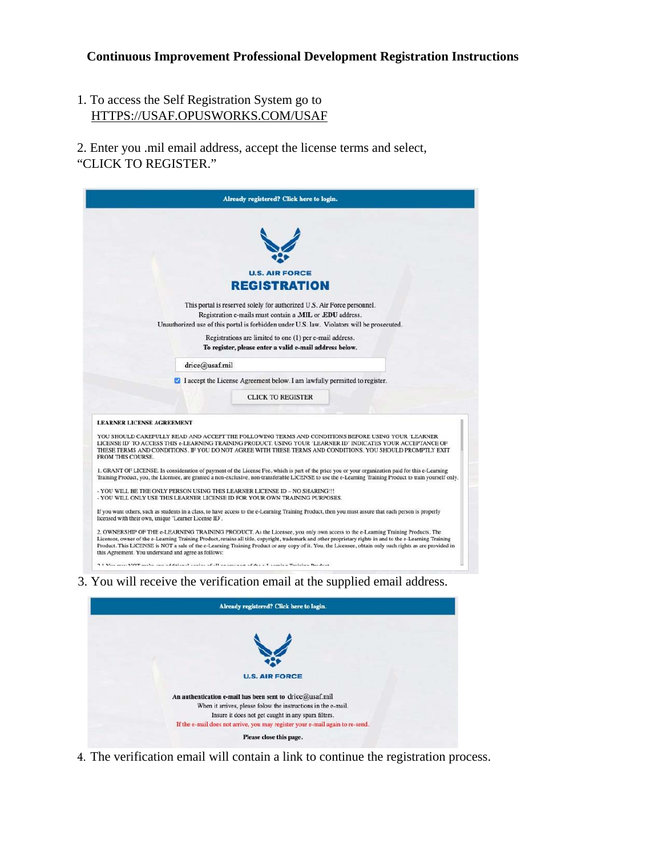# **Continuous Improvement Professional Development Registration Instructions**

1. To access the Self Registration System go to HTTPS://USAF.OPUSWORKS.COM/USAF

2. Enter you .mil email address, accept the license terms and select, "CLICK TO REGISTER."

|                   | Already registered? Click here to login.                                                                                                                                                                                                                                                                                                                                                                                                                                                                        |
|-------------------|-----------------------------------------------------------------------------------------------------------------------------------------------------------------------------------------------------------------------------------------------------------------------------------------------------------------------------------------------------------------------------------------------------------------------------------------------------------------------------------------------------------------|
|                   |                                                                                                                                                                                                                                                                                                                                                                                                                                                                                                                 |
|                   |                                                                                                                                                                                                                                                                                                                                                                                                                                                                                                                 |
|                   |                                                                                                                                                                                                                                                                                                                                                                                                                                                                                                                 |
|                   | <b>U.S. AIR FORCE</b>                                                                                                                                                                                                                                                                                                                                                                                                                                                                                           |
|                   | <b>REGISTRATION</b>                                                                                                                                                                                                                                                                                                                                                                                                                                                                                             |
|                   | This portal is reserved solely for authorized U.S. Air Force personnel.                                                                                                                                                                                                                                                                                                                                                                                                                                         |
|                   | Registration e-mails must contain a MIL or .EDU address.                                                                                                                                                                                                                                                                                                                                                                                                                                                        |
|                   | Unauthorized use of this portal is forbidden under U.S. law. Violators will be prosecuted.                                                                                                                                                                                                                                                                                                                                                                                                                      |
|                   | Registrations are limited to one (1) per e-mail address.                                                                                                                                                                                                                                                                                                                                                                                                                                                        |
|                   | To register, please enter a valid e-mail address below.                                                                                                                                                                                                                                                                                                                                                                                                                                                         |
|                   | drice@usaf.mil                                                                                                                                                                                                                                                                                                                                                                                                                                                                                                  |
|                   | I accept the License Agreement below. I am lawfully permitted to register.                                                                                                                                                                                                                                                                                                                                                                                                                                      |
|                   | <b>CLICK TO REGISTER</b>                                                                                                                                                                                                                                                                                                                                                                                                                                                                                        |
|                   |                                                                                                                                                                                                                                                                                                                                                                                                                                                                                                                 |
|                   | <b>LEARNER LICENSE AGREEMENT</b>                                                                                                                                                                                                                                                                                                                                                                                                                                                                                |
| FROM THIS COURSE. | YOU SHOULD CAREFULLY READ AND ACCEPT THE FOLLOWING TERMS AND CONDITIONS BEFORE USING YOUR 'LEARNER<br>LICENSE ID' TO ACCESS THIS e-LEARNING TRAINING PRODUCT. USING YOUR 'LEARNER ID' INDICATES YOUR ACCEPTANCE OF<br>THESE TERMS AND CONDITIONS. IF YOU DO NOT AGREE WITH THESE TERMS AND CONDITIONS, YOU SHOULD PROMPTLY EXIT                                                                                                                                                                                 |
|                   | 1. GRANT OF LICENSE. In consideration of payment of the License Fee, which is part of the price you or your organization paid for this e-Learning<br>Training Product, you, the Licensee, are granted a non-exclusive, non-transferable LICENSE to use the e-Learning Training Product to train yourself only.                                                                                                                                                                                                  |
|                   | - YOU WILL BE THE ONLY PERSON USING THIS LEARNER LICENSE ID - NO SHARING !!!<br>- YOU WILL ONLY USE THIS LEARNER LICENSE ID FOR YOUR OWN TRAINING PURPOSES.                                                                                                                                                                                                                                                                                                                                                     |
|                   | If you want others, such as students in a class, to have access to the e-Learning Training Product, then you must assure that each person is properly<br>licensed with their own, unique 'Learner License ID'.                                                                                                                                                                                                                                                                                                  |
|                   | 2. OWNERSHIP OF THE e-LEARNING TRAINING PRODUCT. As the Licensee, you only own access to the e-Learning Training Products. The<br>Licensor, owner of the e-Learning Training Product, retains all title, copyright, trademark and other proprietary rights in and to the e-Learning Training<br>Product. This LICENSE is NOT a sale of the e-Learning Training Product or any copy of it. You, the Licensee, obtain only such rights as are provided in<br>this Agreement. You understand and agree as follows: |
|                   | $\mathbf{r}$ and $\mathbf{r}$ and $\mathbf{r}$ and $\mathbf{r}$                                                                                                                                                                                                                                                                                                                                                                                                                                                 |

| Already registered? Click here to login.                                      |
|-------------------------------------------------------------------------------|
|                                                                               |
|                                                                               |
| <b>U.S. AIR FORCE</b>                                                         |
| An authentication e-mail has been sent to drice@usaf.mil                      |
| When it arrives, please folow the instructions in the e-mail.                 |
| Insure it does not get caught in any spam filters.                            |
| If the e-mail does not arrive, you may register your e-mail again to re-send. |
| Please close this page.                                                       |

4. The verification email will contain a link to continue the registration process.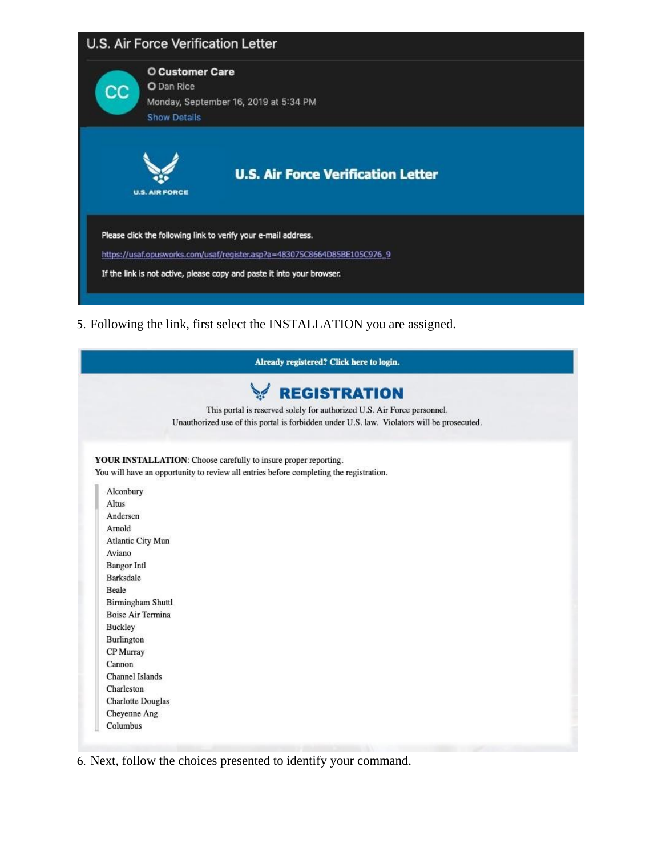|             | <b>U.S. Air Force Verification Letter</b>                                                                                                  |
|-------------|--------------------------------------------------------------------------------------------------------------------------------------------|
| $_{\rm cc}$ | <b>O Customer Care</b><br>O Dan Rice<br>Monday, September 16, 2019 at 5:34 PM<br><b>Show Details</b>                                       |
|             | <b>U.S. Air Force Verification Letter</b><br><b>U.S. AIR FORCE</b>                                                                         |
|             | Please click the following link to verify your e-mail address.<br>https://usaf.opusworks.com/usaf/register.asp?a=483075C8664D85BE105C976_9 |
|             | If the link is not active, please copy and paste it into your browser.                                                                     |

5. Following the link, first select the INSTALLATION you are assigned.

|                          | Already registered? Click here to login.                                                   |
|--------------------------|--------------------------------------------------------------------------------------------|
|                          | <b>EGISTRATION</b>                                                                         |
|                          | This portal is reserved solely for authorized U.S. Air Force personnel.                    |
|                          | Unauthorized use of this portal is forbidden under U.S. law. Violators will be prosecuted. |
|                          |                                                                                            |
|                          | YOUR INSTALLATION: Choose carefully to insure proper reporting.                            |
|                          | You will have an opportunity to review all entries before completing the registration.     |
|                          |                                                                                            |
| Alconbury                |                                                                                            |
| <b>Altus</b>             |                                                                                            |
| Andersen                 |                                                                                            |
| Arnold                   |                                                                                            |
| Atlantic City Mun        |                                                                                            |
| Aviano                   |                                                                                            |
| <b>Bangor Intl</b>       |                                                                                            |
| <b>Barksdale</b>         |                                                                                            |
| Beale                    |                                                                                            |
| Birmingham Shuttl        |                                                                                            |
| <b>Boise Air Termina</b> |                                                                                            |
| <b>Buckley</b>           |                                                                                            |
| Burlington               |                                                                                            |
| CP Murray                |                                                                                            |
| Cannon                   |                                                                                            |
| Channel Islands          |                                                                                            |
| Charleston               |                                                                                            |
| <b>Charlotte Douglas</b> |                                                                                            |
| Cheyenne Ang             |                                                                                            |
| Columbus                 |                                                                                            |

6. Next, follow the choices presented to identify your command.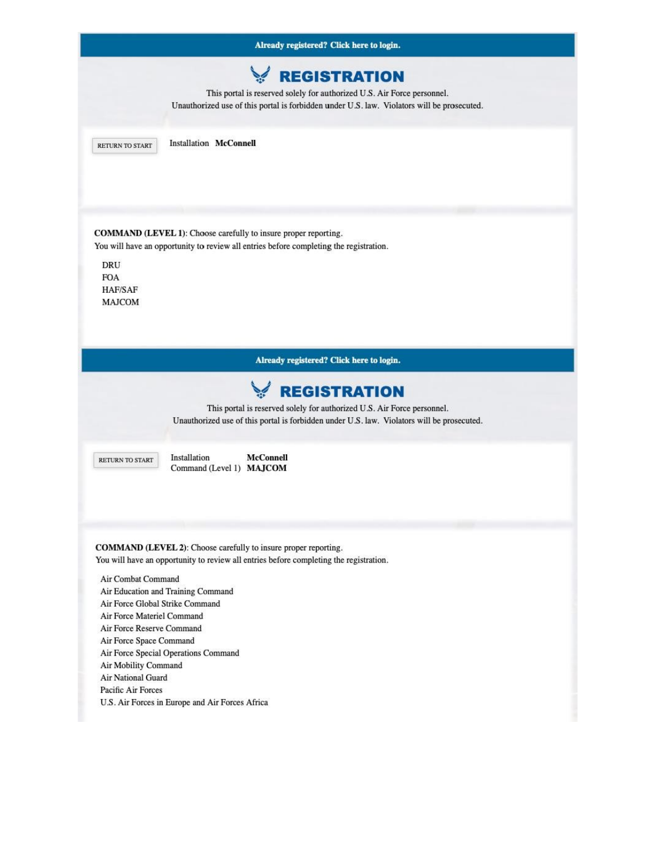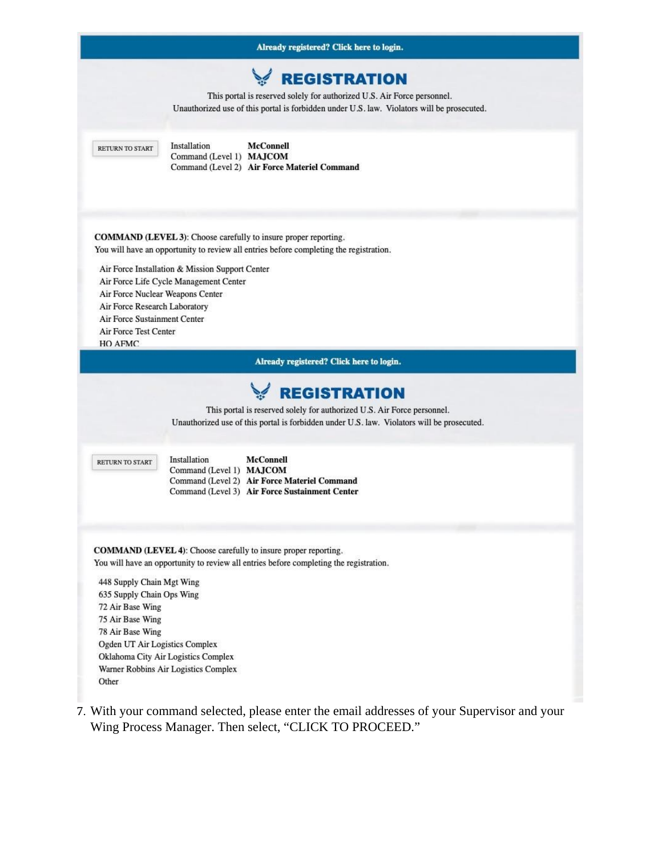

7. With your command selected, please enter the email addresses of your Supervisor and your Wing Process Manager. Then select, "CLICK TO PROCEED."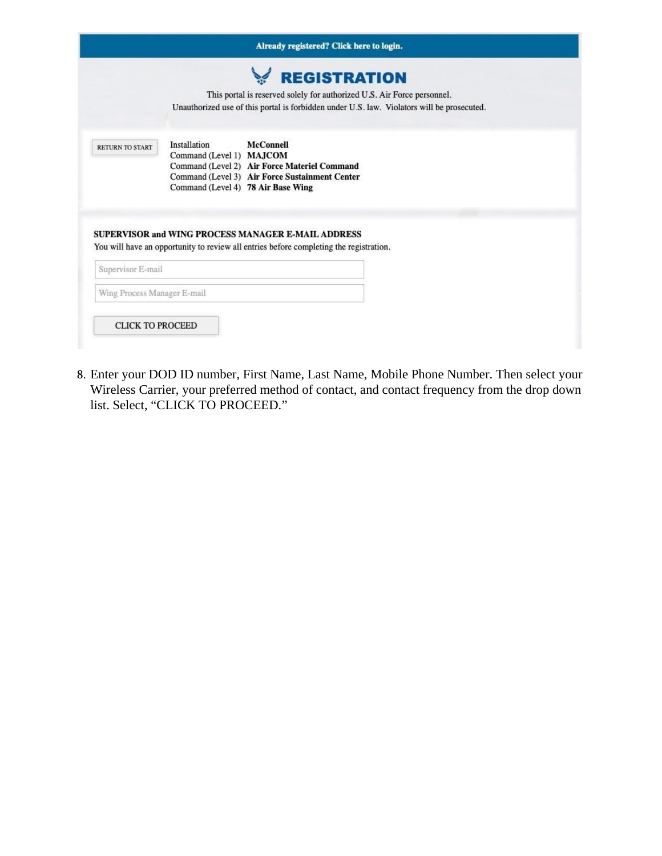|                             | Already registered? Click here to login.                                                                                                                                                             |
|-----------------------------|------------------------------------------------------------------------------------------------------------------------------------------------------------------------------------------------------|
|                             | <b>REGISTRATION</b><br>This portal is reserved solely for authorized U.S. Air Force personnel.<br>Unauthorized use of this portal is forbidden under U.S. law. Violators will be prosecuted.         |
| RETURN TO START             | <b>McConnell</b><br>Installation<br>Command (Level 1) MAJCOM<br>Command (Level 2) Air Force Materiel Command<br>Command (Level 3) Air Force Sustainment Center<br>Command (Level 4) 78 Air Base Wing |
| Supervisor E-mail           | <b>SUPERVISOR and WING PROCESS MANAGER E-MAIL ADDRESS</b><br>You will have an opportunity to review all entries before completing the registration.                                                  |
| Wing Process Manager E-mail |                                                                                                                                                                                                      |
|                             |                                                                                                                                                                                                      |

8. Enter your DOD ID number, First Name, Last Name, Mobile Phone Number. Then select your Wireless Carrier, your preferred method of contact, and contact frequency from the drop down list. Select, "CLICK TO PROCEED."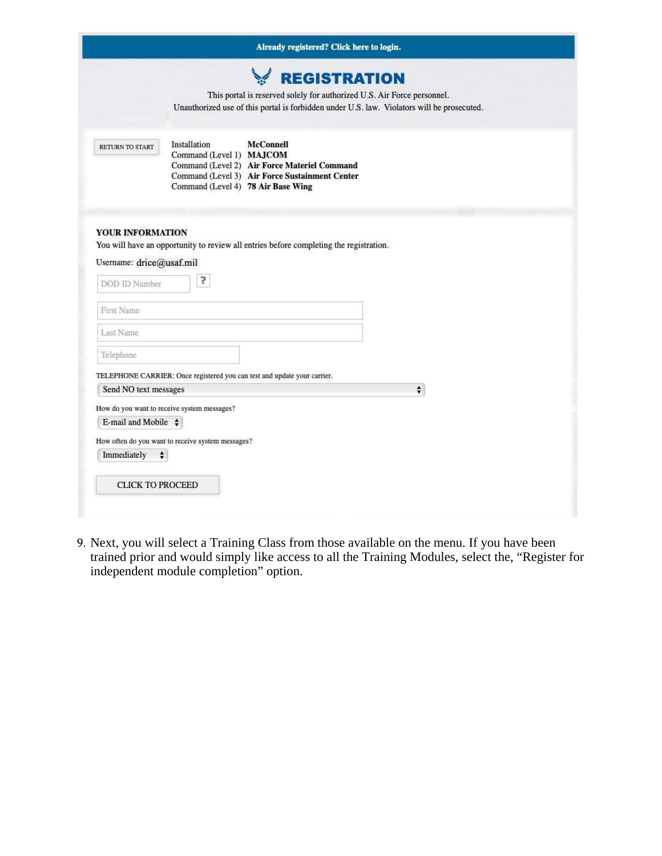|                                                               | Already registered? Click here to login.                                                                                                                                                             |
|---------------------------------------------------------------|------------------------------------------------------------------------------------------------------------------------------------------------------------------------------------------------------|
|                                                               | <b>EGISTRATION</b><br>This portal is reserved solely for authorized U.S. Air Force personnel.<br>Unauthorized use of this portal is forbidden under U.S. law. Violators will be prosecuted.          |
| RETURN TO START                                               | Installation<br><b>McConnell</b><br>Command (Level 1) MAJCOM<br>Command (Level 2) Air Force Materiel Command<br>Command (Level 3) Air Force Sustainment Center<br>Command (Level 4) 78 Air Base Wing |
| YOUR INFORMATION<br>Username: drice@usaf.mil<br>DOD ID Number | You will have an opportunity to review all entries before completing the registration.<br>5                                                                                                          |
| First Name                                                    |                                                                                                                                                                                                      |
| Last Name                                                     |                                                                                                                                                                                                      |
| Telephone                                                     |                                                                                                                                                                                                      |
|                                                               | TELEPHONE CARRIER: Once registered you can test and update your carrier.                                                                                                                             |
| Send NO text messages                                         | $\div$                                                                                                                                                                                               |
|                                                               | How do you want to receive system messages?                                                                                                                                                          |
|                                                               |                                                                                                                                                                                                      |
| E-mail and Mobile $\div$                                      |                                                                                                                                                                                                      |
|                                                               | How often do you want to receive system messages?                                                                                                                                                    |
| Immediately                                                   | $\div$                                                                                                                                                                                               |
| <b>CLICK TO PROCEED</b>                                       |                                                                                                                                                                                                      |

9. Next, you will select a Training Class from those available on the menu. If you have been trained prior and would simply like access to all the Training Modules, select the, "Register for independent module completion" option.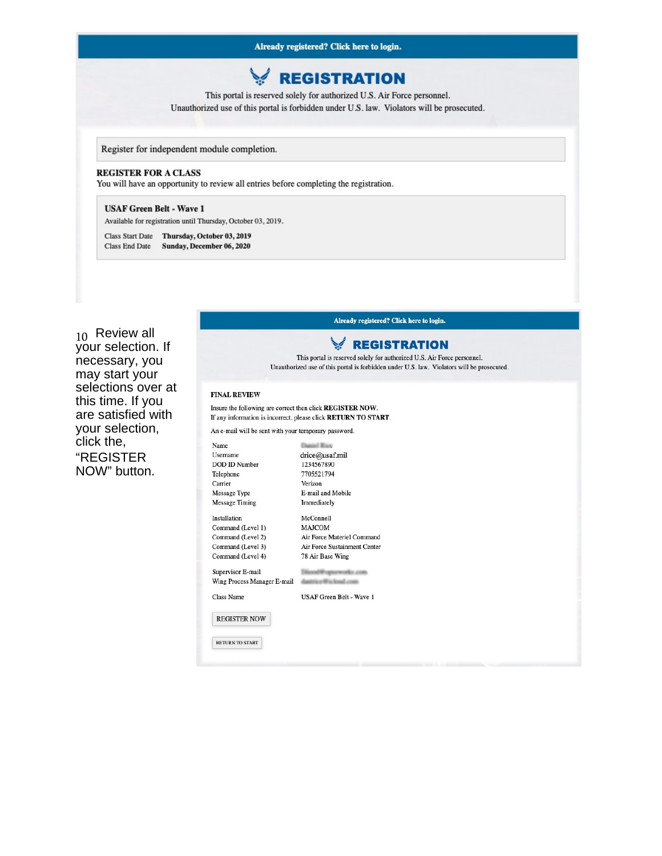# **REGISTRATION**

This portal is reserved solely for authorized U.S. Air Force personnel. Unauthorized use of this portal is forbidden under U.S. law. Violators will be prosecuted.

Register for independent module completion.

#### **REGISTER FOR A CLASS**

You will have an opportunity to review all entries before completing the registration.

#### **USAF Green Belt - Wave 1**

Available for registration until Thursday, October 03, 2019.

Class Start Date Thursday, October 03, 2019 Class End Date Sunday, December 06, 2020

Already registered? Click here to login.

### $_{10}$  Review all vour selection. If necessary, you may start your selections over at this time. If you are satisfied with your selection, click the. **"REGISTER** NOW" button.

## **REGISTRATION**

This portal is reserved solely for authorized U.S. Air Force personnel. Unauthorized use of this portal is forbidden under U.S. law. Violators will be prosecuted.

#### **FINAL REVIEW**

#### Insure the following are correct then click REGISTER NOW. If any information is incorrect, please click RETURN TO START.

An e-mail will be sent with your temporary password.

Name **Daniel Rice** drice@usaf.mil Username DOD ID Number 1234567890 Telephone 7705521794 Verizon Carrier Message Type E-mail and Mobile Message Timing Immediately Installation McConnell Command (Level 1) **MAJCOM** Command (Level 2) Air Force Materiel Command Command (Level 3) Air Force Sustainment Center Command (Level 4) 78 Air Base Wing Supervisor E-mail Tilizood @ opturnrocks.com Wing Process Manager E-mail and the book and the book Class Name USAF Green Belt - Wave 1 REGISTER NOW RETURN TO START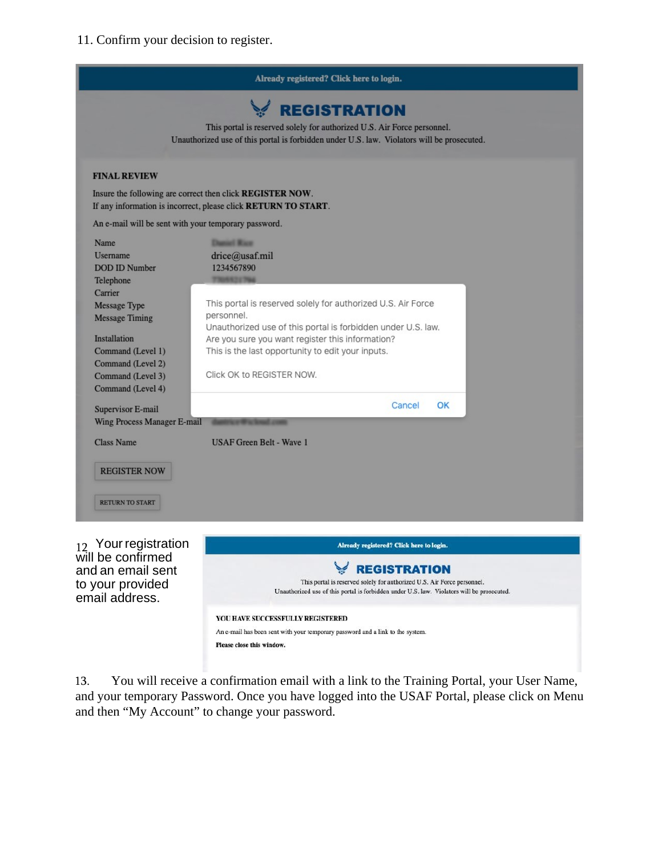11. Confirm your decision to register.



will be confirmed and an email sent to your provided email address.

**EGISTRATION** This portal is reserved solely for authorized U.S. Air Force personnel. Unauthorized use of this portal is forbidden under U.S. law. Violators will be prosecuted. YOU HAVE SUCCESSFULLY REGISTERED An e-mail has been sent with your temporary password and a link to the system. Please close this window.

13. You will receive a confirmation email with a link to the Training Portal, your User Name, and your temporary Password. Once you have logged into the USAF Portal, please click on Menu and then "My Account" to change your password.